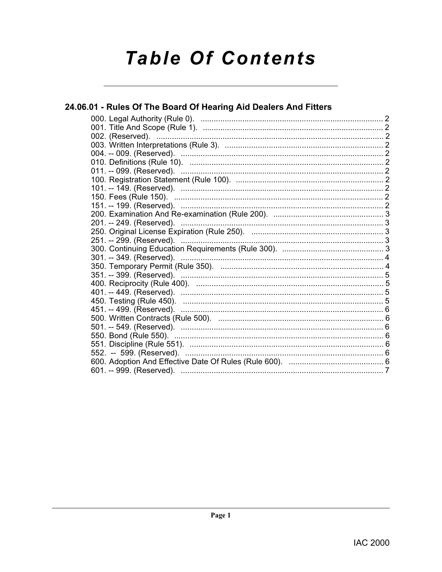# **Table Of Contents**

# 24.06.01 - Rules Of The Board Of Hearing Aid Dealers And Fitters

| 301. -- 349. (Reserved).                                  |
|-----------------------------------------------------------|
|                                                           |
|                                                           |
|                                                           |
| 401. -- 449. (Reserved). …………………………………………………………………………………5 |
|                                                           |
|                                                           |
|                                                           |
|                                                           |
|                                                           |
|                                                           |
|                                                           |
|                                                           |
|                                                           |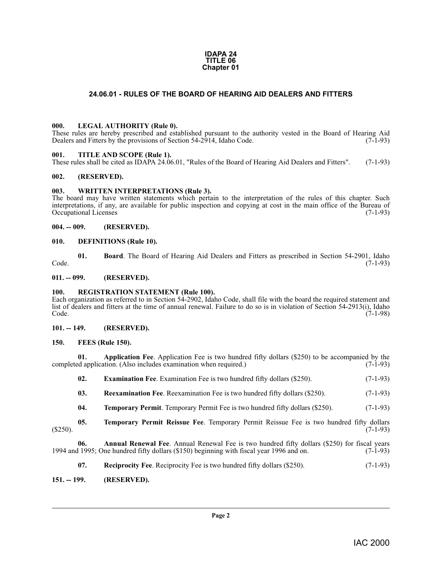#### **IDAPA 24 TITLE 06 Chapter 01**

#### **24.06.01 - RULES OF THE BOARD OF HEARING AID DEALERS AND FITTERS**

#### <span id="page-1-18"></span><span id="page-1-1"></span><span id="page-1-0"></span>**000. LEGAL AUTHORITY (Rule 0).**

These rules are hereby prescribed and established pursuant to the authority vested in the Board of Hearing Aid Dealers and Fitters by the provisions of Section 54-2914, Idaho Code. (7-1-93)

#### <span id="page-1-24"></span><span id="page-1-2"></span>**001. TITLE AND SCOPE (Rule 1).**

These rules shall be cited as IDAPA 24.06.01, "Rules of the Board of Hearing Aid Dealers and Fitters". (7-1-93)

#### <span id="page-1-3"></span>**002. (RESERVED).**

#### <span id="page-1-25"></span><span id="page-1-4"></span>**003. WRITTEN INTERPRETATIONS (Rule 3).**

The board may have written statements which pertain to the interpretation of the rules of this chapter. Such interpretations, if any, are available for public inspection and copying at cost in the main office of the Bureau of Occupational Licenses (7-1-93)

<span id="page-1-5"></span>**004. -- 009. (RESERVED).**

#### <span id="page-1-15"></span><span id="page-1-6"></span>**010. DEFINITIONS (Rule 10).**

<span id="page-1-14"></span>**01. Board**. The Board of Hearing Aid Dealers and Fitters as prescribed in Section 54-2901, Idaho (7-1-93) Code. (7-1-93)

#### <span id="page-1-7"></span>**011. -- 099. (RESERVED).**

#### <span id="page-1-21"></span><span id="page-1-8"></span>**100. REGISTRATION STATEMENT (Rule 100).**

Each organization as referred to in Section 54-2902, Idaho Code, shall file with the board the required statement and list of dealers and fitters at the time of annual renewal. Failure to do so is in violation of Section 54-2913(i), Idaho Code. (7-1-98)

#### <span id="page-1-9"></span>**101. -- 149. (RESERVED).**

#### <span id="page-1-17"></span><span id="page-1-10"></span>**150. FEES (Rule 150).**

**01. Application Fee**. Application Fee is two hundred fifty dollars (\$250) to be accompanied by the ed application. (Also includes examination when required.) (7-1-93) completed application. (Also includes examination when required.)

<span id="page-1-20"></span><span id="page-1-16"></span><span id="page-1-13"></span>

| 02. | <b>Examination Fee.</b> Examination Fee is two hundred fifty dollars (\$250). |  |  |  |  | $(7-1-93)$ |
|-----|-------------------------------------------------------------------------------|--|--|--|--|------------|
|-----|-------------------------------------------------------------------------------|--|--|--|--|------------|

- **03. Reexamination Fee**. Reexamination Fee is two hundred fifty dollars (\$250). (7-1-93)
- <span id="page-1-23"></span><span id="page-1-22"></span>**04. Temporary Permit**. Temporary Permit Fee is two hundred fifty dollars (\$250). (7-1-93)
- **05. Temporary Permit Reissue Fee**. Temporary Permit Reissue Fee is two hundred fifty dollars (7-1-93)  $(7-1-93)$  (\$250).

**06. Annual Renewal Fee**. Annual Renewal Fee is two hundred fifty dollars (\$250) for fiscal years 1994 and 1995; One hundred fifty dollars (\$150) beginning with fiscal year 1996 and on. (7-1-93)

<span id="page-1-19"></span><span id="page-1-12"></span>**07. Reciprocity Fee**. Reciprocity Fee is two hundred fifty dollars (\$250). (7-1-93)

#### <span id="page-1-11"></span>**151. -- 199. (RESERVED).**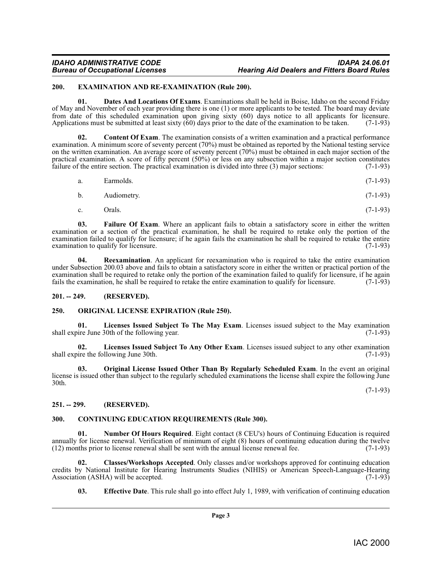#### *IDAHO ADMINISTRATIVE CODE IDAPA 24.06.01* **Hearing Aid Dealers and Fitters Board Rules**

#### <span id="page-2-10"></span><span id="page-2-0"></span>**200. EXAMINATION AND RE-EXAMINATION (Rule 200).**

<span id="page-2-8"></span>**01. Dates And Locations Of Exams**. Examinations shall be held in Boise, Idaho on the second Friday of May and November of each year providing there is one (1) or more applicants to be tested. The board may deviate from date of this scheduled examination upon giving sixty (60) days notice to all applicants for licensure. Applications must be submitted at least sixty (60) days prior to the date of the examination to be taken. (7-1-93)

<span id="page-2-6"></span>**02.** Content Of Exam. The examination consists of a written examination and a practical performance examination. A minimum score of seventy percent (70%) must be obtained as reported by the National testing service on the written examination. An average score of seventy percent (70%) must be obtained in each major section of the practical examination. A score of fifty percent  $(50\%)$  or less on any subsection within a major section constitutes failure of the entire section. The practical examination is divided into three (3) major sections:  $(7-1$ failure of the entire section. The practical examination is divided into three (3) major sections:

| a. | Earmolds. |  | $(7-1-93)$ |
|----|-----------|--|------------|
|----|-----------|--|------------|

- b. Audiometry. (7-1-93)
- <span id="page-2-17"></span><span id="page-2-11"></span>c. Orals.  $(7-1-93)$

**03.** Failure Of Exam. Where an applicant fails to obtain a satisfactory score in either the written examination or a section of the practical examination, he shall be required to retake only the portion of the examination failed to qualify for licensure; if he again fails the examination he shall be required to retake the entire examination to qualify for licensure. examination to qualify for licensure.

**04.** Reexamination. An applicant for reexamination who is required to take the entire examination under Subsection 200.03 above and fails to obtain a satisfactory score in either the written or practical portion of the examination shall be required to retake only the portion of the examination failed to qualify for licensure, if he again fails the examination, he shall be required to retake the entire examination to qualify for licensure fails the examination, he shall be required to retake the entire examination to qualify for licensure.

#### <span id="page-2-1"></span>**201. -- 249. (RESERVED).**

#### <span id="page-2-15"></span><span id="page-2-2"></span>**250. ORIGINAL LICENSE EXPIRATION (Rule 250).**

<span id="page-2-13"></span>**01.** Licenses Issued Subject To The May Exam. Licenses issued subject to the May examination ire June 30th of the following year. (7-1-93) shall expire June 30th of the following year.

<span id="page-2-12"></span>**02.** Licenses Issued Subject To Any Other Exam. Licenses issued subject to any other examination ire the following June 30th. (7-1-93) shall expire the following June 30th.

<span id="page-2-16"></span>**03. Original License Issued Other Than By Regularly Scheduled Exam**. In the event an original license is issued other than subject to the regularly scheduled examinations the license shall expire the following June 30th.

(7-1-93)

#### <span id="page-2-3"></span>**251. -- 299. (RESERVED).**

#### <span id="page-2-7"></span><span id="page-2-4"></span>**300. CONTINUING EDUCATION REQUIREMENTS (Rule 300).**

<span id="page-2-14"></span>**01. Number Of Hours Required**. Eight contact (8 CEU's) hours of Continuing Education is required annually for license renewal. Verification of minimum of eight  $(8)$  hours of continuing education during the twelve  $(12)$  months prior to license renewal shall be sent with the annual license renewal fee.  $(7-1-93)$  $(12)$  months prior to license renewal shall be sent with the annual license renewal fee.

**02. Classes/Workshops Accepted**. Only classes and/or workshops approved for continuing education credits by National Institute for Hearing Instruments Studies (NIHIS) or American Speech-Language-Hearing Association (ASHA) will be accepted.

<span id="page-2-9"></span><span id="page-2-5"></span>**03. Effective Date**. This rule shall go into effect July 1, 1989, with verification of continuing education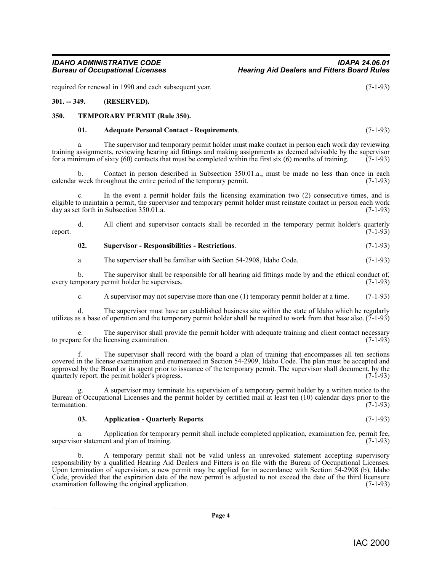required for renewal in 1990 and each subsequent year. (7-1-93)

#### <span id="page-3-0"></span>**301. -- 349. (RESERVED).**

#### <span id="page-3-1"></span>**350. TEMPORARY PERMIT (Rule 350).**

#### <span id="page-3-5"></span><span id="page-3-2"></span>**01. Adequate Personal Contact - Requirements**. (7-1-93)

a. The supervisor and temporary permit holder must make contact in person each work day reviewing training assignments, reviewing hearing aid fittings and making assignments as deemed advisable by the supervisor for a minimum of sixty  $(60)$  contacts that must be completed within the first six  $(6)$  months of training.  $(7-1-93)$ 

b. Contact in person described in Subsection 350.01.a., must be made no less than once in each week throughout the entire period of the temporary permit. (7-1-93) calendar week throughout the entire period of the temporary permit.

In the event a permit holder fails the licensing examination two  $(2)$  consecutive times, and is eligible to maintain a permit, the supervisor and temporary permit holder must reinstate contact in person each work day as set forth in Subsection 350.01.a. day as set forth in Subsection  $350.01.a$ .

d. All client and supervisor contacts shall be recorded in the temporary permit holder's quarterly report.  $(7-1-93)$ 

#### <span id="page-3-4"></span>**02. Supervisor - Responsibilities - Restrictions**. (7-1-93)

a. The supervisor shall be familiar with Section 54-2908, Idaho Code. (7-1-93)

b. The supervisor shall be responsible for all hearing aid fittings made by and the ethical conduct of, nporary permit holder he supervises. (7-1-93) every temporary permit holder he supervises.

c. A supervisor may not supervise more than one (1) temporary permit holder at a time. (7-1-93)

d. The supervisor must have an established business site within the state of Idaho which he regularly utilizes as a base of operation and the temporary permit holder shall be required to work from that base also.  $(7-1-93)$ 

e. The supervisor shall provide the permit holder with adequate training and client contact necessary e for the licensing examination. (7-1-93) to prepare for the licensing examination.

f. The supervisor shall record with the board a plan of training that encompasses all ten sections covered in the license examination and enumerated in Section 54-2909, Idaho Code. The plan must be accepted and approved by the Board or its agent prior to issuance of the temporary permit. The supervisor shall document, by the quarterly report, the permit holder's progress.  $(7-1-93)$ quarterly report, the permit holder's progress.

g. A supervisor may terminate his supervision of a temporary permit holder by a written notice to the Bureau of Occupational Licenses and the permit holder by certified mail at least ten (10) calendar days prior to the termination. (7-1-93) termination. (7-1-93)

#### <span id="page-3-3"></span>**03. Application - Quarterly Reports**. (7-1-93)

a. Application for temporary permit shall include completed application, examination fee, permit fee, or statement and plan of training. (7-1-93) supervisor statement and plan of training.

b. A temporary permit shall not be valid unless an unrevoked statement accepting supervisory responsibility by a qualified Hearing Aid Dealers and Fitters is on file with the Bureau of Occupational Licenses. Upon termination of supervision, a new permit may be applied for in accordance with Section 54-2908 (b), Idaho Code, provided that the expiration date of the new permit is adjusted to not exceed the date of the third licensure examination following the original application.  $(7-1-93)$ examination following the original application.

**Page 4**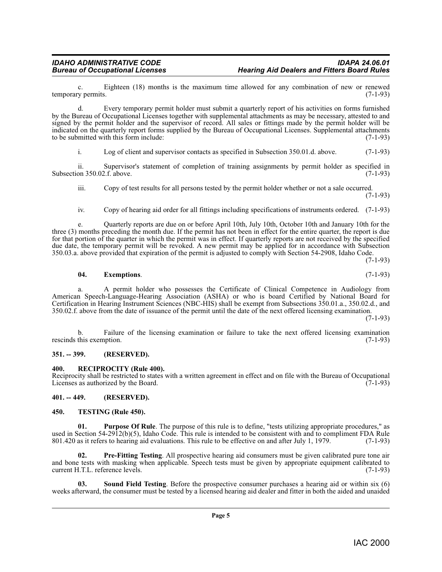c. Eighteen (18) months is the maximum time allowed for any combination of new or renewed  $\gamma$  permits. (7-1-93) temporary permits.

d. Every temporary permit holder must submit a quarterly report of his activities on forms furnished by the Bureau of Occupational Licenses together with supplemental attachments as may be necessary, attested to and signed by the permit holder and the supervisor of record. All sales or fittings made by the permit holder will be indicated on the quarterly report forms supplied by the Bureau of Occupational Licenses. Supplemental attachments to be submitted with this form include: to be submitted with this form include:

i. Log of client and supervisor contacts as specified in Subsection 350.01.d. above. (7-1-93)

ii. Supervisor's statement of completion of training assignments by permit holder as specified in on 350.02.f. above. (7-1-93) Subsection 350.02.f. above.

iii. Copy of test results for all persons tested by the permit holder whether or not a sale occurred. (7-1-93)

iv. Copy of hearing aid order for all fittings including specifications of instruments ordered. (7-1-93)

e. Quarterly reports are due on or before April 10th, July 10th, October 10th and January 10th for the three (3) months preceding the month due. If the permit has not been in effect for the entire quarter, the report is due for that portion of the quarter in which the permit was in effect. If quarterly reports are not received by the specified due date, the temporary permit will be revoked. A new permit may be applied for in accordance with Subsection 350.03.a. above provided that expiration of the permit is adjusted to comply with Section 54-2908, Idaho Code.

<span id="page-4-4"></span>

$$
04. Exemptions. \t(7-1-93)
$$

a. A permit holder who possesses the Certificate of Clinical Competence in Audiology from American Speech-Language-Hearing Association (ASHA) or who is board Certified by National Board for Certification in Hearing Instrument Sciences (NBC-HIS) shall be exempt from Subsections 350.01.a., 350.02.d., and 350.02.f. above from the date of issuance of the permit until the date of the next offered licensing examination.

(7-1-93)

 $(7-1-93)$ 

b. Failure of the licensing examination or failure to take the next offered licensing examination rescinds this exemption. (7-1-93)

#### <span id="page-4-0"></span>**351. -- 399. (RESERVED).**

<span id="page-4-7"></span><span id="page-4-1"></span>**400. RECIPROCITY (Rule 400).**

Reciprocity shall be restricted to states with a written agreement in effect and on file with the Bureau of Occupational Licenses as authorized by the Board. Licenses as authorized by the Board.

#### <span id="page-4-2"></span>**401. -- 449. (RESERVED).**

#### <span id="page-4-9"></span><span id="page-4-3"></span>**450. TESTING (Rule 450).**

<span id="page-4-6"></span>**Purpose Of Rule**. The purpose of this rule is to define, "tests utilizing appropriate procedures," as used in Section 54-2912(b)(5), Idaho Code. This rule is intended to be consistent with and to compliment FDA Rule 801.420 as it refers to hearing aid evaluations. This rule to be effective on and after July 1, 1979. (7-1-801.420 as it refers to hearing aid evaluations. This rule to be effective on and after July 1, 1979.

<span id="page-4-5"></span>**Pre-Fitting Testing.** All prospective hearing aid consumers must be given calibrated pure tone air and bone tests with masking when applicable. Speech tests must be given by appropriate equipment calibrated to current H.T.L. reference levels. (7-1-93)

<span id="page-4-8"></span>**03. Sound Field Testing**. Before the prospective consumer purchases a hearing aid or within six (6) weeks afterward, the consumer must be tested by a licensed hearing aid dealer and fitter in both the aided and unaided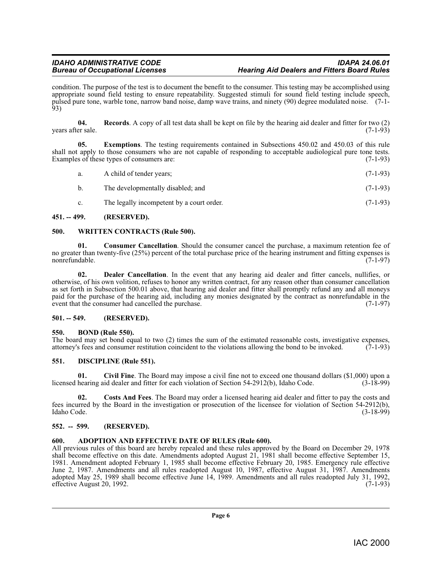condition. The purpose of the test is to document the benefit to the consumer. This testing may be accomplished using appropriate sound field testing to ensure repeatability. Suggested stimuli for sound field testing include speech, pulsed pure tone, warble tone, narrow band noise, damp wave trains, and ninety (90) degree modulated noise. (7-1- 93)

**04. Records**. A copy of all test data shall be kept on file by the hearing aid dealer and fitter for two (2) years after sale.

**05. Exemptions**. The testing requirements contained in Subsections 450.02 and 450.03 of this rule shall not apply to those consumers who are not capable of responding to acceptable audiological pure tone tests.<br>Examples of these types of consumers are: Examples  $\hat{f}$  these types of consumers are:

| а.             | A child of tender years;                  | $(7-1-93)$ |
|----------------|-------------------------------------------|------------|
| b.             | The developmentally disabled; and         | $(7-1-93)$ |
| $\mathbf{c}$ . | The legally incompetent by a court order. | $(7-1-93)$ |

#### <span id="page-5-0"></span>**451. -- 499. (RESERVED).**

#### <span id="page-5-14"></span><span id="page-5-1"></span>**500. WRITTEN CONTRACTS (Rule 500).**

<span id="page-5-10"></span>**01. Consumer Cancellation**. Should the consumer cancel the purchase, a maximum retention fee of no greater than twenty-five (25%) percent of the total purchase price of the hearing instrument and fitting expenses is nonrefundable. (7-1-97)

<span id="page-5-12"></span>**02. Dealer Cancellation**. In the event that any hearing aid dealer and fitter cancels, nullifies, or otherwise, of his own volition, refuses to honor any written contract, for any reason other than consumer cancellation as set forth in Subsection 500.01 above, that hearing aid dealer and fitter shall promptly refund any and all moneys paid for the purchase of the hearing aid, including any monies designated by the contract as nonrefundable in the event that the consumer had cancelled the purchase. (7-1-97)

#### <span id="page-5-2"></span>**501. -- 549. (RESERVED).**

#### <span id="page-5-8"></span><span id="page-5-3"></span>**550. BOND (Rule 550).**

The board may set bond equal to two  $(2)$  times the sum of the estimated reasonable costs, investigative expenses, attorney's fees and consumer restitution coincident to the violations allowing the bond to be invoked.  $(7$ attorney's fees and consumer restitution coincident to the violations allowing the bond to be invoked.

#### <span id="page-5-13"></span><span id="page-5-4"></span>**551. DISCIPLINE (Rule 551).**

<span id="page-5-9"></span>**01.** Civil Fine. The Board may impose a civil fine not to exceed one thousand dollars (\$1,000) upon a hearing aid dealer and fitter for each violation of Section 54-2912(b), Idaho Code. (3-18-99) licensed hearing aid dealer and fitter for each violation of Section 54-2912(b), Idaho Code.

<span id="page-5-11"></span>**02. Costs And Fees**. The Board may order a licensed hearing aid dealer and fitter to pay the costs and fees incurred by the Board in the investigation or prosecution of the licensee for violation of Section 54-2912(b), Idaho Code. (3-18-99)

#### <span id="page-5-5"></span>**552. -- 599. (RESERVED).**

#### <span id="page-5-7"></span><span id="page-5-6"></span>**600. ADOPTION AND EFFECTIVE DATE OF RULES (Rule 600).**

All previous rules of this board are hereby repealed and these rules approved by the Board on December 29, 1978 shall become effective on this date. Amendments adopted August 21, 1981 shall become effective September 15, 1981. Amendment adopted February 1, 1985 shall become effective February 20, 1985. Emergency rule effective June 2, 1987. Amendments and all rules readopted August 10, 1987, effective August 31, 1987. Amendments adopted May 25, 1989 shall become effective June 14, 1989. Amendments and all rules readopted July 31, 1992, effective August 20, 1992.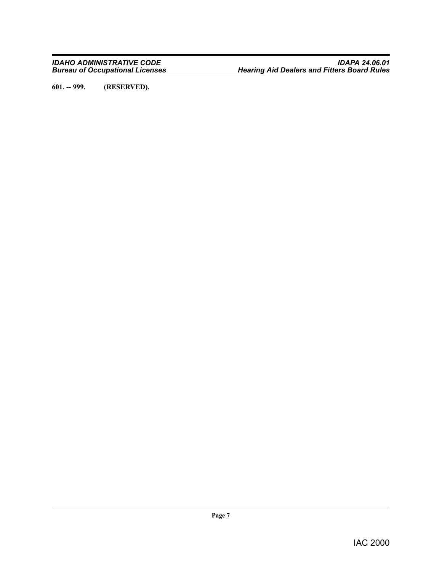<span id="page-6-0"></span>**601. -- 999. (RESERVED).**